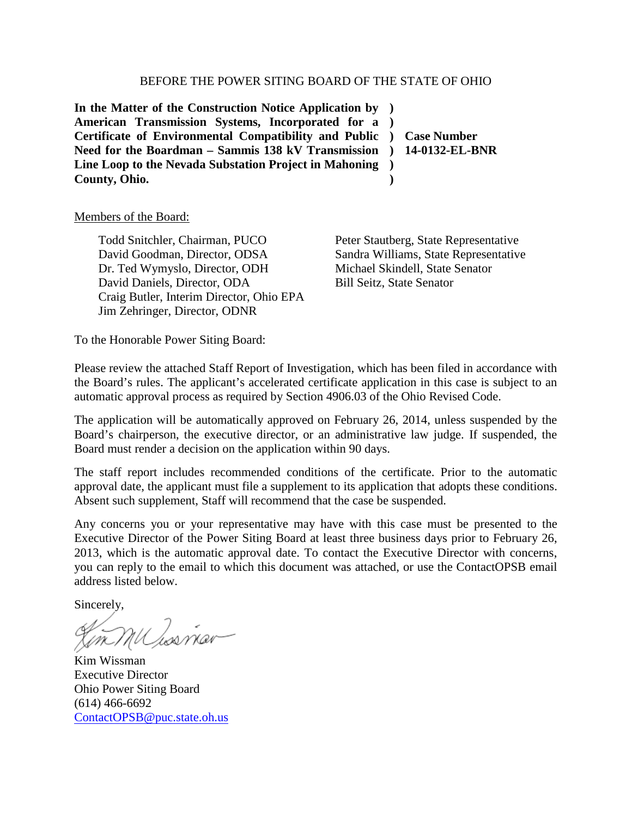### BEFORE THE POWER SITING BOARD OF THE STATE OF OHIO

**In the Matter of the Construction Notice Application by ) American Transmission Systems, Incorporated for a ) Certificate of Environmental Compatibility and Public ) Case Number Need for the Boardman – Sammis 138 kV Transmission ) Line Loop to the Nevada Substation Project in Mahoning ) County, Ohio. )**

**14-0132-EL-BNR**

#### Members of the Board:

Todd Snitchler, Chairman, PUCO David Goodman, Director, ODSA Dr. Ted Wymyslo, Director, ODH David Daniels, Director, ODA Craig Butler, Interim Director, Ohio EPA Jim Zehringer, Director, ODNR

Peter Stautberg, State Representative Sandra Williams, State Representative Michael Skindell, State Senator Bill Seitz, State Senator

To the Honorable Power Siting Board:

Please review the attached Staff Report of Investigation, which has been filed in accordance with the Board's rules. The applicant's accelerated certificate application in this case is subject to an automatic approval process as required by Section 4906.03 of the Ohio Revised Code.

The application will be automatically approved on February 26, 2014, unless suspended by the Board's chairperson, the executive director, or an administrative law judge. If suspended, the Board must render a decision on the application within 90 days.

The staff report includes recommended conditions of the certificate. Prior to the automatic approval date, the applicant must file a supplement to its application that adopts these conditions. Absent such supplement, Staff will recommend that the case be suspended.

Any concerns you or your representative may have with this case must be presented to the Executive Director of the Power Siting Board at least three business days prior to February 26, 2013, which is the automatic approval date. To contact the Executive Director with concerns, you can reply to the email to which this document was attached, or use the ContactOPSB email address listed below.

Sincerely,

Um MU Ios viar

Kim Wissman Executive Director Ohio Power Siting Board (614) 466-6692 [ContactOPSB@puc.state.oh.us](mailto:ContactOPSB@puc.state.oh.us)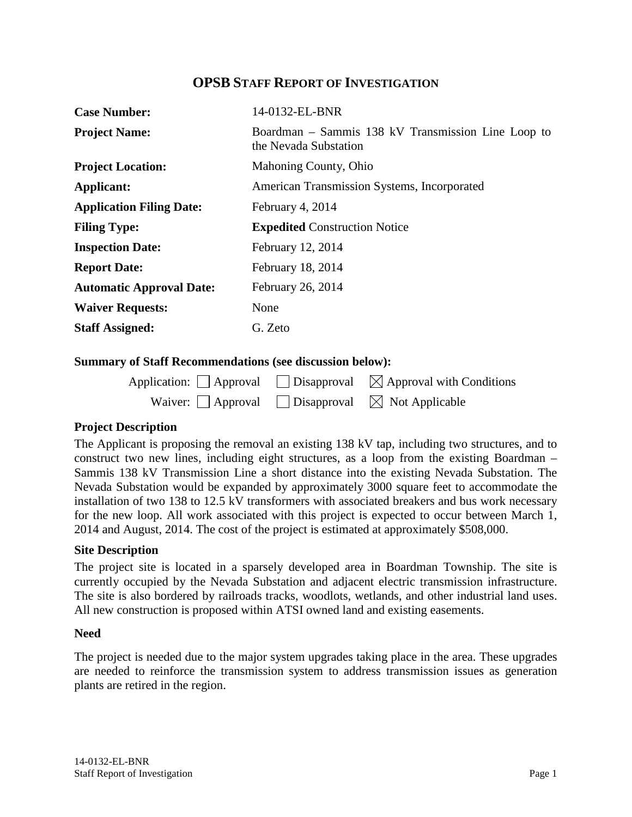# **OPSB STAFF REPORT OF INVESTIGATION**

| <b>Case Number:</b>             | 14-0132-EL-BNR                                                              |  |
|---------------------------------|-----------------------------------------------------------------------------|--|
| <b>Project Name:</b>            | Boardman – Sammis 138 kV Transmission Line Loop to<br>the Nevada Substation |  |
| <b>Project Location:</b>        | Mahoning County, Ohio                                                       |  |
| Applicant:                      | American Transmission Systems, Incorporated                                 |  |
| <b>Application Filing Date:</b> | February 4, 2014                                                            |  |
| <b>Filing Type:</b>             | <b>Expedited Construction Notice</b>                                        |  |
| <b>Inspection Date:</b>         | February 12, 2014                                                           |  |
| <b>Report Date:</b>             | February 18, 2014                                                           |  |
| <b>Automatic Approval Date:</b> | February 26, 2014                                                           |  |
| <b>Waiver Requests:</b>         | None                                                                        |  |
| <b>Staff Assigned:</b>          | G. Zeto                                                                     |  |

### **Summary of Staff Recommendations (see discussion below):**

|                                                                       | Application: Approval Disapproval $\boxtimes$ Approval with Conditions |
|-----------------------------------------------------------------------|------------------------------------------------------------------------|
| Waiver: $\Box$ Approval $\Box$ Disapproval $\boxtimes$ Not Applicable |                                                                        |

## **Project Description**

The Applicant is proposing the removal an existing 138 kV tap, including two structures, and to construct two new lines, including eight structures, as a loop from the existing Boardman – Sammis 138 kV Transmission Line a short distance into the existing Nevada Substation. The Nevada Substation would be expanded by approximately 3000 square feet to accommodate the installation of two 138 to 12.5 kV transformers with associated breakers and bus work necessary for the new loop. All work associated with this project is expected to occur between March 1, 2014 and August, 2014. The cost of the project is estimated at approximately \$508,000.

## **Site Description**

The project site is located in a sparsely developed area in Boardman Township. The site is currently occupied by the Nevada Substation and adjacent electric transmission infrastructure. The site is also bordered by railroads tracks, woodlots, wetlands, and other industrial land uses. All new construction is proposed within ATSI owned land and existing easements.

### **Need**

The project is needed due to the major system upgrades taking place in the area. These upgrades are needed to reinforce the transmission system to address transmission issues as generation plants are retired in the region.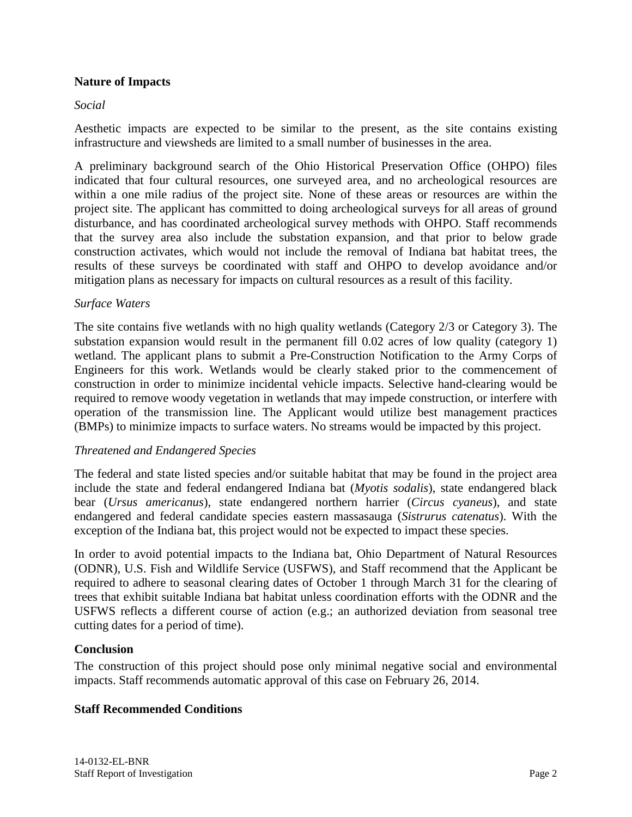## **Nature of Impacts**

## *Social*

Aesthetic impacts are expected to be similar to the present, as the site contains existing infrastructure and viewsheds are limited to a small number of businesses in the area.

A preliminary background search of the Ohio Historical Preservation Office (OHPO) files indicated that four cultural resources, one surveyed area, and no archeological resources are within a one mile radius of the project site. None of these areas or resources are within the project site. The applicant has committed to doing archeological surveys for all areas of ground disturbance, and has coordinated archeological survey methods with OHPO. Staff recommends that the survey area also include the substation expansion, and that prior to below grade construction activates, which would not include the removal of Indiana bat habitat trees, the results of these surveys be coordinated with staff and OHPO to develop avoidance and/or mitigation plans as necessary for impacts on cultural resources as a result of this facility.

## *Surface Waters*

The site contains five wetlands with no high quality wetlands (Category 2/3 or Category 3). The substation expansion would result in the permanent fill 0.02 acres of low quality (category 1) wetland. The applicant plans to submit a Pre-Construction Notification to the Army Corps of Engineers for this work. Wetlands would be clearly staked prior to the commencement of construction in order to minimize incidental vehicle impacts. Selective hand-clearing would be required to remove woody vegetation in wetlands that may impede construction, or interfere with operation of the transmission line. The Applicant would utilize best management practices (BMPs) to minimize impacts to surface waters. No streams would be impacted by this project.

## *Threatened and Endangered Species*

The federal and state listed species and/or suitable habitat that may be found in the project area include the state and federal endangered Indiana bat (*Myotis sodalis*), state endangered black bear (*Ursus americanus*), state endangered northern harrier (*Circus cyaneus*), and state endangered and federal candidate species eastern massasauga (*Sistrurus catenatus*). With the exception of the Indiana bat, this project would not be expected to impact these species.

In order to avoid potential impacts to the Indiana bat, Ohio Department of Natural Resources (ODNR), U.S. Fish and Wildlife Service (USFWS), and Staff recommend that the Applicant be required to adhere to seasonal clearing dates of October 1 through March 31 for the clearing of trees that exhibit suitable Indiana bat habitat unless coordination efforts with the ODNR and the USFWS reflects a different course of action (e.g.; an authorized deviation from seasonal tree cutting dates for a period of time).

## **Conclusion**

The construction of this project should pose only minimal negative social and environmental impacts. Staff recommends automatic approval of this case on February 26, 2014.

## **Staff Recommended Conditions**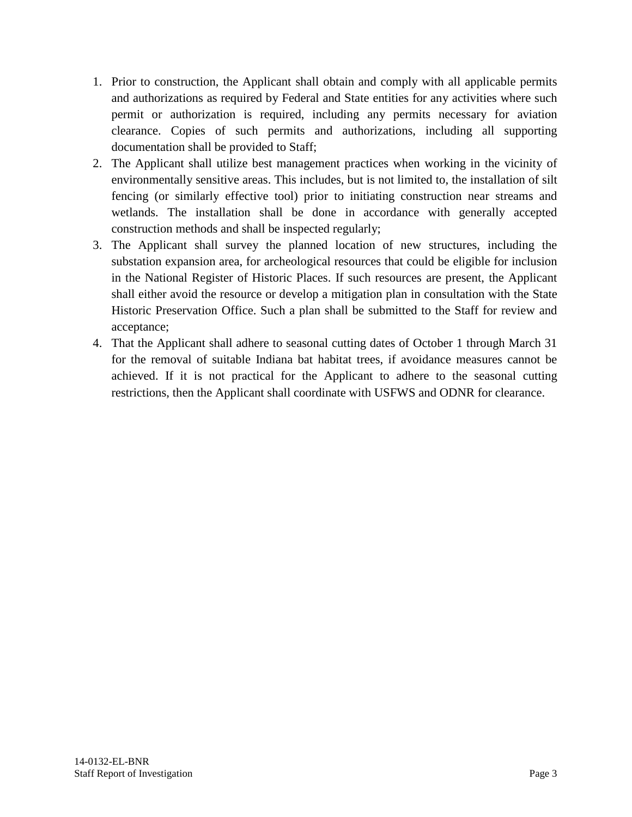- 1. Prior to construction, the Applicant shall obtain and comply with all applicable permits and authorizations as required by Federal and State entities for any activities where such permit or authorization is required, including any permits necessary for aviation clearance. Copies of such permits and authorizations, including all supporting documentation shall be provided to Staff;
- 2. The Applicant shall utilize best management practices when working in the vicinity of environmentally sensitive areas. This includes, but is not limited to, the installation of silt fencing (or similarly effective tool) prior to initiating construction near streams and wetlands. The installation shall be done in accordance with generally accepted construction methods and shall be inspected regularly;
- 3. The Applicant shall survey the planned location of new structures, including the substation expansion area, for archeological resources that could be eligible for inclusion in the National Register of Historic Places. If such resources are present, the Applicant shall either avoid the resource or develop a mitigation plan in consultation with the State Historic Preservation Office. Such a plan shall be submitted to the Staff for review and acceptance;
- 4. That the Applicant shall adhere to seasonal cutting dates of October 1 through March 31 for the removal of suitable Indiana bat habitat trees, if avoidance measures cannot be achieved. If it is not practical for the Applicant to adhere to the seasonal cutting restrictions, then the Applicant shall coordinate with USFWS and ODNR for clearance.